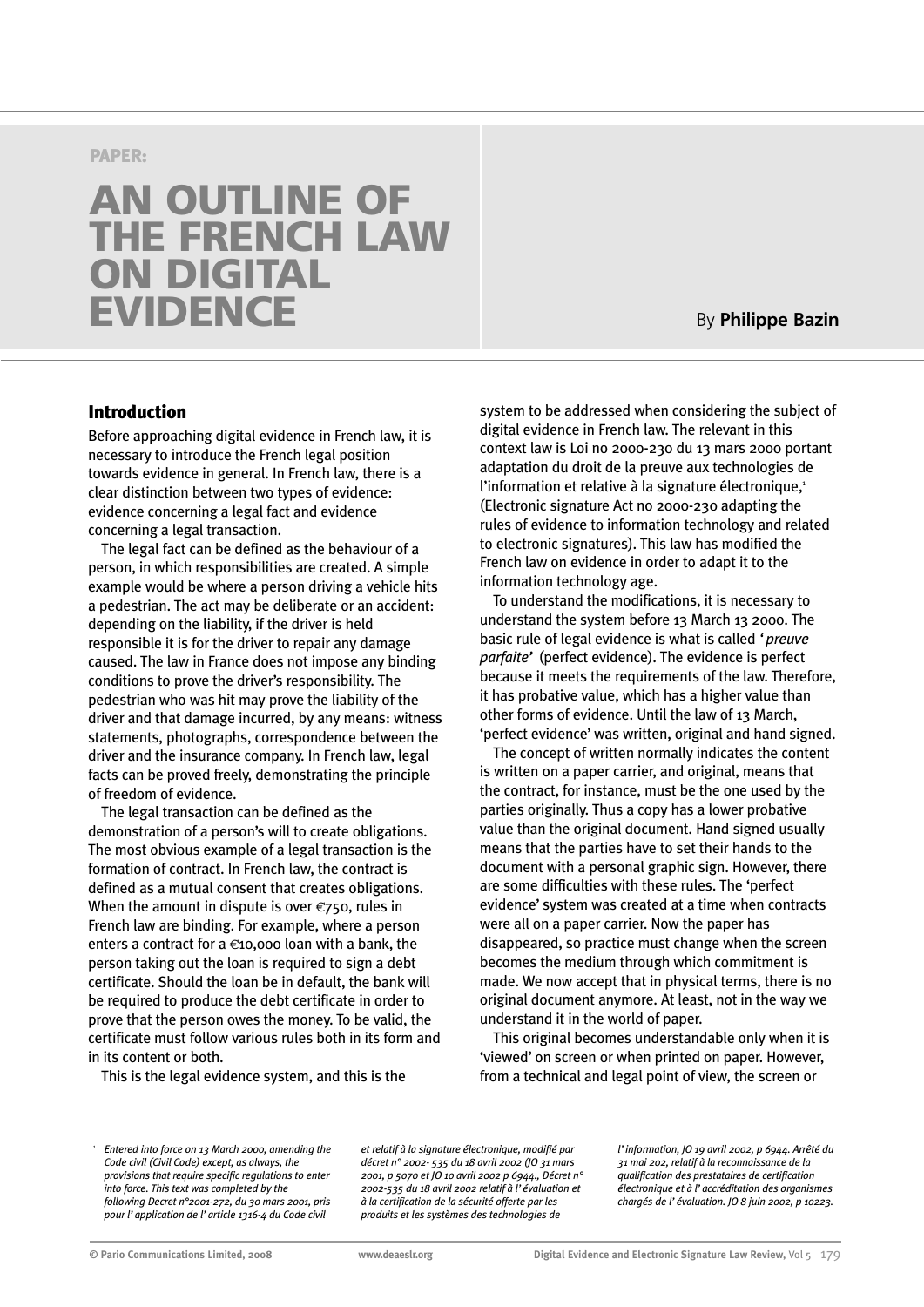#### **PAPER:**

# **AN OUTLINE OF THE FRENCH LAW ON DIGITAL EVIDENCE**

## By **Philippe Bazin**

#### **Introduction**

Before approaching digital evidence in French law, it is necessary to introduce the French legal position towards evidence in general. In French law, there is a clear distinction between two types of evidence: evidence concerning a legal fact and evidence concerning a legal transaction.

The legal fact can be defined as the behaviour of a person, in which responsibilities are created. A simple example would be where a person driving a vehicle hits a pedestrian. The act may be deliberate or an accident: depending on the liability, if the driver is held responsible it is for the driver to repair any damage caused. The law in France does not impose any binding conditions to prove the driver's responsibility. The pedestrian who was hit may prove the liability of the driver and that damage incurred, by any means: witness statements, photographs, correspondence between the driver and the insurance company. In French law, legal facts can be proved freely, demonstrating the principle of freedom of evidence.

The legal transaction can be defined as the demonstration of a person's will to create obligations. The most obvious example of a legal transaction is the formation of contract. In French law, the contract is defined as a mutual consent that creates obligations. When the amount in dispute is over  $\epsilon$ 750, rules in French law are binding. For example, where a person enters a contract for a  $\epsilon$ 10,000 loan with a bank, the person taking out the loan is required to sign a debt certificate. Should the loan be in default, the bank will be required to produce the debt certificate in order to prove that the person owes the money. To be valid, the certificate must follow various rules both in its form and in its content or both.

This is the legal evidence system, and this is the

system to be addressed when considering the subject of digital evidence in French law. The relevant in this context law is Loi no 2000-230 du 13 mars 2000 portant adaptation du droit de la preuve aux technologies de l'information et relative à la signature électronique, $1$ (Electronic signature Act no 2000-230 adapting the rules of evidence to information technology and related to electronic signatures). This law has modified the French law on evidence in order to adapt it to the information technology age.

To understand the modifications, it is necessary to understand the system before 13 March 13 2000. The basic rule of legal evidence is what is called *'preuve parfaite'* (perfect evidence). The evidence is perfect because it meets the requirements of the law. Therefore, it has probative value, which has a higher value than other forms of evidence. Until the law of 13 March, 'perfect evidence' was written, original and hand signed.

The concept of written normally indicates the content is written on a paper carrier, and original, means that the contract, for instance, must be the one used by the parties originally. Thus a copy has a lower probative value than the original document. Hand signed usually means that the parties have to set their hands to the document with a personal graphic sign. However, there are some difficulties with these rules. The 'perfect evidence' system was created at a time when contracts were all on a paper carrier. Now the paper has disappeared, so practice must change when the screen becomes the medium through which commitment is made. We now accept that in physical terms, there is no original document anymore. At least, not in the way we understand it in the world of paper.

This original becomes understandable only when it is 'viewed' on screen or when printed on paper. However, from a technical and legal point of view, the screen or

*et relatif à la signature électronique, modifié par décret n° 2002- 535 du 18 avril 2002 (JO 31 mars 2001, p 5070 et JO 10 avril 2002 p 6944., Décret n° 2002-535 du 18 avril 2002 relatif à l'évaluation et à la certification de la sécurité offerte par les produits et les systèmes des technologies de*

*l'information, JO 19 avril 2002, p 6944. Arrêté du 31 mai 202, relatif à la reconnaissance de la qualification des prestataires de certification électronique et à l'accréditation des organismes chargés de l'évaluation. JO 8 juin 2002, p 10223.*

*<sup>1</sup> Entered into force on 13 March 2000, amending the Code civil (Civil Code) except, as always, the provisions that require specific regulations to enter into force. This text was completed by the following Decret n°2001-272, du 30 mars 2001, pris pour l'application de l'article 1316-4 du Code civil*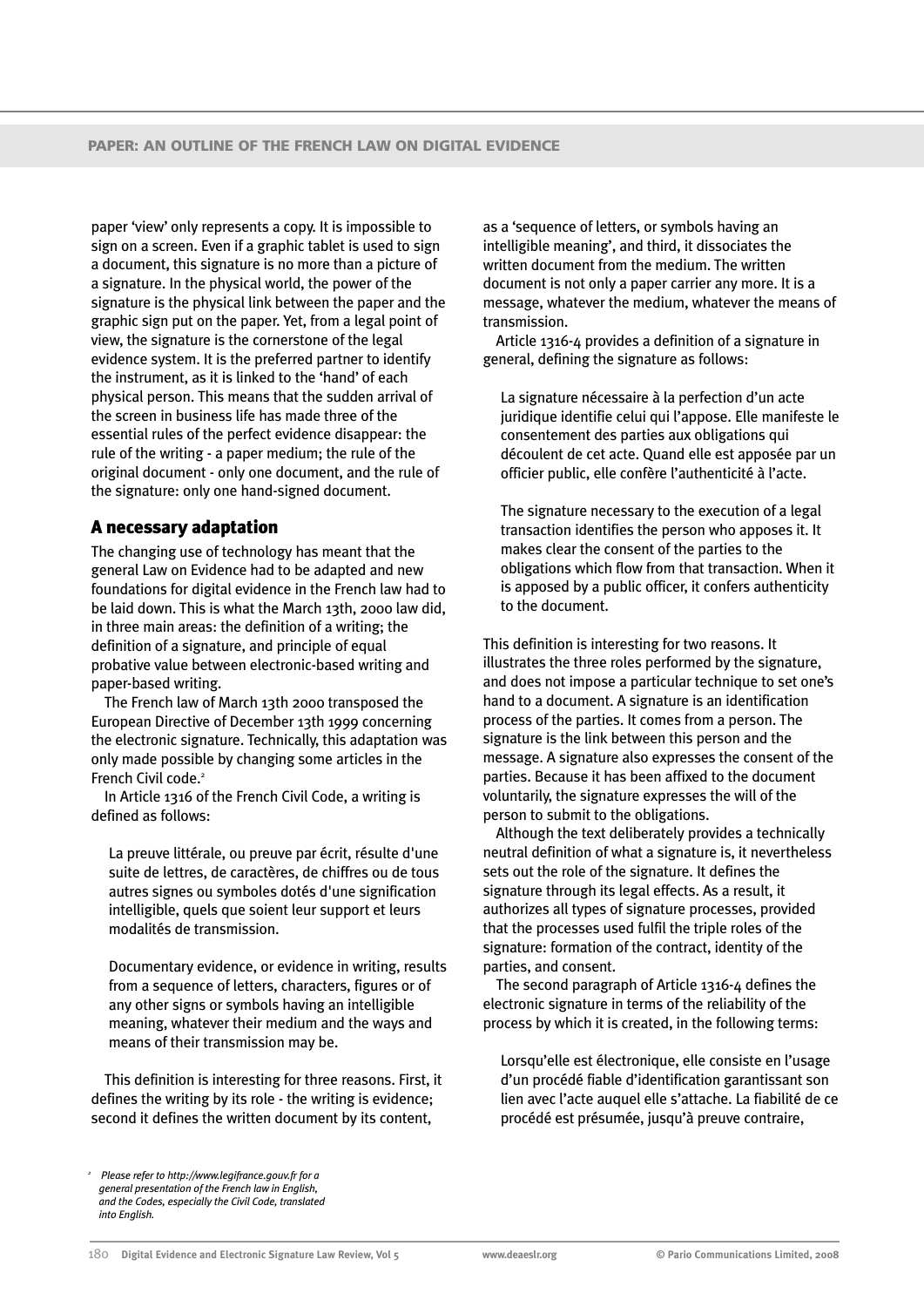paper 'view' only represents a copy. It is impossible to sign on a screen. Even if a graphic tablet is used to sign a document, this signature is no more than a picture of a signature. In the physical world, the power of the signature is the physical link between the paper and the graphic sign put on the paper. Yet, from a legal point of view, the signature is the cornerstone of the legal evidence system. It is the preferred partner to identify the instrument, as it is linked to the 'hand' of each physical person. This means that the sudden arrival of the screen in business life has made three of the essential rules of the perfect evidence disappear: the rule of the writing - a paper medium; the rule of the original document - only one document, and the rule of the signature: only one hand-signed document.

#### **A necessary adaptation**

The changing use of technology has meant that the general Law on Evidence had to be adapted and new foundations for digital evidence in the French law had to be laid down. This is what the March 13th, 2000 law did, in three main areas: the definition of a writing; the definition of a signature, and principle of equal probative value between electronic-based writing and paper-based writing.

The French law of March 13th 2000 transposed the European Directive of December 13th 1999 concerning the electronic signature. Technically, this adaptation was only made possible by changing some articles in the French Civil code.<sup>2</sup>

In Article 1316 of the French Civil Code, a writing is defined as follows:

La preuve littérale, ou preuve par écrit, résulte d'une suite de lettres, de caractères, de chiffres ou de tous autres signes ou symboles dotés d'une signification intelligible, quels que soient leur support et leurs modalités de transmission.

Documentary evidence, or evidence in writing, results from a sequence of letters, characters, figures or of any other signs or symbols having an intelligible meaning, whatever their medium and the ways and means of their transmission may be.

This definition is interesting for three reasons. First, it defines the writing by its role - the writing is evidence; second it defines the written document by its content,

*<sup>2</sup> Please refer to http://www.legifrance.gouv.fr for a general presentation of the French law in English, and the Codes, especially the Civil Code, translated into English.*

as a 'sequence of letters, or symbols having an intelligible meaning', and third, it dissociates the written document from the medium. The written document is not only a paper carrier any more. It is a message, whatever the medium, whatever the means of transmission.

Article 1316-4 provides a definition of a signature in general, defining the signature as follows:

La signature nécessaire à la perfection d'un acte juridique identifie celui qui l'appose. Elle manifeste le consentement des parties aux obligations qui découlent de cet acte. Quand elle est apposée par un officier public, elle confère l'authenticité à l'acte.

The signature necessary to the execution of a legal transaction identifies the person who apposes it. It makes clear the consent of the parties to the obligations which flow from that transaction. When it is apposed by a public officer, it confers authenticity to the document.

This definition is interesting for two reasons. It illustrates the three roles performed by the signature, and does not impose a particular technique to set one's hand to a document. A signature is an identification process of the parties. It comes from a person. The signature is the link between this person and the message. A signature also expresses the consent of the parties. Because it has been affixed to the document voluntarily, the signature expresses the will of the person to submit to the obligations.

Although the text deliberately provides a technically neutral definition of what a signature is, it nevertheless sets out the role of the signature. It defines the signature through its legal effects. As a result, it authorizes all types of signature processes, provided that the processes used fulfil the triple roles of the signature: formation of the contract, identity of the parties, and consent.

The second paragraph of Article 1316-4 defines the electronic signature in terms of the reliability of the process by which it is created, in the following terms:

Lorsqu'elle est électronique, elle consiste en l'usage d'un procédé fiable d'identification garantissant son lien avec l'acte auquel elle s'attache. La fiabilité de ce procédé est présumée, jusqu'à preuve contraire,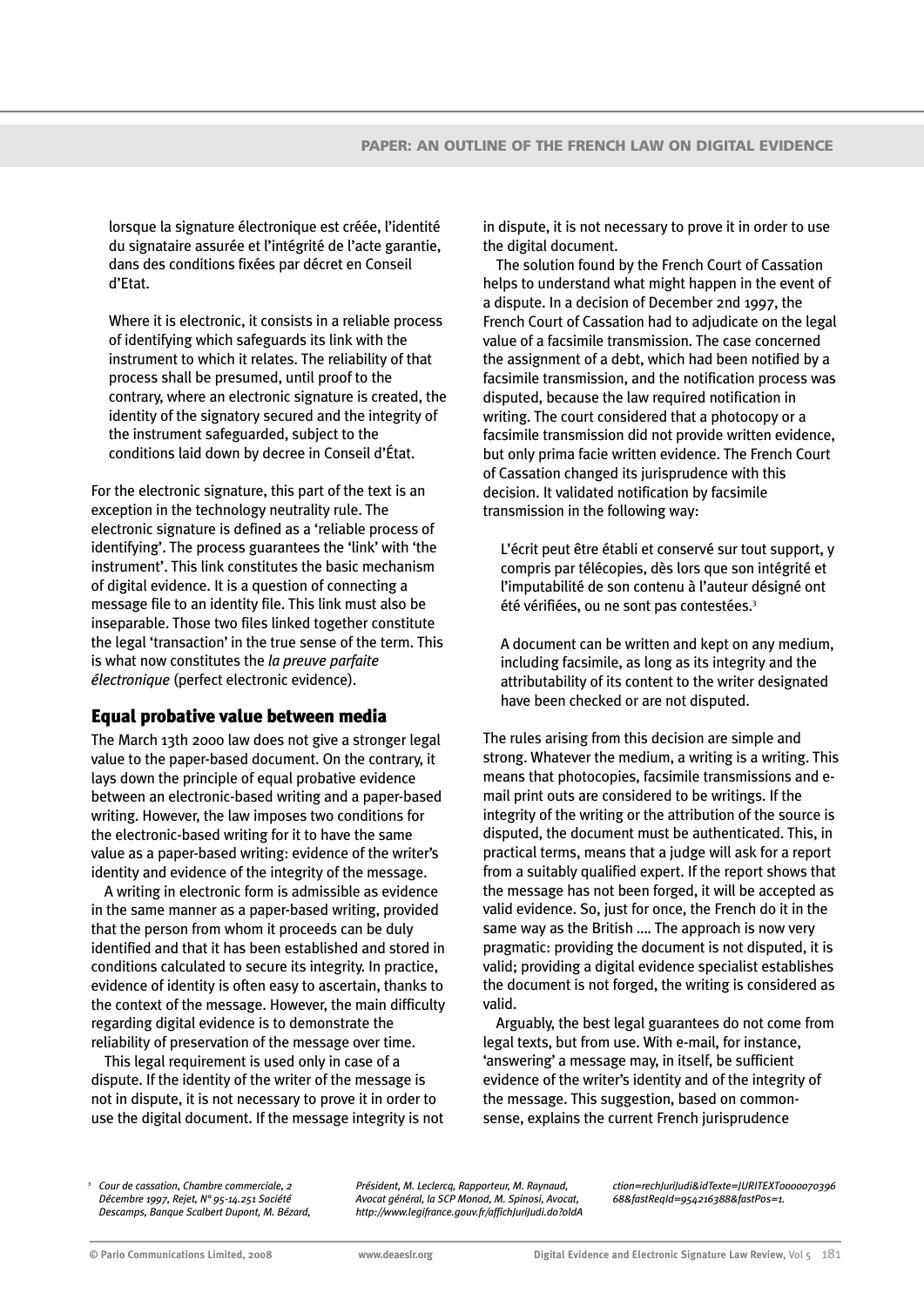lorsque la signature électronique est créée, l'identité du signataire assurée et l'intégrité de l'acte garantie, dans des conditions fixées par décret en Conseil d'Etat.

Where it is electronic, it consists in a reliable process of identifying which safeguards its link with the instrument to which it relates. The reliability of that process shall be presumed, until proof to the contrary, where an electronic signature is created, the identity of the signatory secured and the integrity of the instrument safeguarded, subject to the conditions laid down by decree in Conseil d'État.

For the electronic signature, this part of the text is an exception in the technology neutrality rule. The electronic signature is defined as a 'reliable process of identifying'. The process guarantees the 'link' with 'the instrument'. This link constitutes the basic mechanism of digital evidence. It is a question of connecting a message file to an identity file. This link must also be inseparable. Those two files linked together constitute the legal 'transaction' in the true sense of the term. This is what now constitutes the *la preuve parfaite électronique* (perfect electronic evidence).

### **Equal probative value between media**

The March 13th 2000 law does not give a stronger legal value to the paper-based document. On the contrary, it lays down the principle of equal probative evidence between an electronic-based writing and a paper-based writing. However, the law imposes two conditions for the electronic-based writing for it to have the same value as a paper-based writing: evidence of the writer's identity and evidence of the integrity of the message.

A writing in electronic form is admissible as evidence in the same manner as a paper-based writing, provided that the person from whom it proceeds can be duly identified and that it has been established and stored in conditions calculated to secure its integrity. In practice, evidence of identity is often easy to ascertain, thanks to the context of the message. However, the main difficulty regarding digital evidence is to demonstrate the reliability of preservation of the message over time.

This legal requirement is used only in case of a dispute. If the identity of the writer of the message is not in dispute, it is not necessary to prove it in order to use the digital document. If the message integrity is not in dispute, it is not necessary to prove it in order to use the digital document.

The solution found by the French Court of Cassation helps to understand what might happen in the event of a dispute. In a decision of December 2nd 1997, the French Court of Cassation had to adjudicate on the legal value of a facsimile transmission. The case concerned the assignment of a debt, which had been notified by a facsimile transmission, and the notification process was disputed, because the law required notification in writing. The court considered that a photocopy or a facsimile transmission did not provide written evidence, but only prima facie written evidence. The French Court of Cassation changed its jurisprudence with this decision. It validated notification by facsimile transmission in the following way:

L'écrit peut être établi et conservé sur tout support, y compris par télécopies, dès lors que son intégrité et l'imputabilité de son contenu à l'auteur désigné ont été vérifiées, ou ne sont pas contestées.<sup>3</sup>

A document can be written and kept on any medium, including facsimile, as long as its integrity and the attributability of its content to the writer designated have been checked or are not disputed.

The rules arising from this decision are simple and strong. Whatever the medium, a writing is a writing. This means that photocopies, facsimile transmissions and email print outs are considered to be writings. If the integrity of the writing or the attribution of the source is disputed, the document must be authenticated. This, in practical terms, means that a judge will ask for a report from a suitably qualified expert. If the report shows that the message has not been forged, it will be accepted as valid evidence. So, just for once, the French do it in the same way as the British …. The approach is now very pragmatic: providing the document is not disputed, it is valid; providing a digital evidence specialist establishes the document is not forged, the writing is considered as valid.

Arguably, the best legal guarantees do not come from legal texts, but from use. With e-mail, for instance, 'answering' a message may, in itself, be sufficient evidence of the writer's identity and of the integrity of the message. This suggestion, based on commonsense, explains the current French jurisprudence

*<sup>3</sup> Cour de cassation, Chambre commerciale, 2 Décembre 1997, Rejet, N° 95-14.251 Société Descamps, Banque Scalbert Dupont, M. Bézard,* *Président, M. Leclercq, Rapporteur, M. Raynaud, Avocat général, la SCP Monod, M. Spinosi, Avocat, http://www.legifrance.gouv.fr/affichJuriJudi.do?oldA* *ction=rechJuriJudi&idTexte=JURITEXT0000070396 68&fastReqId=954216388&fastPos=1.*